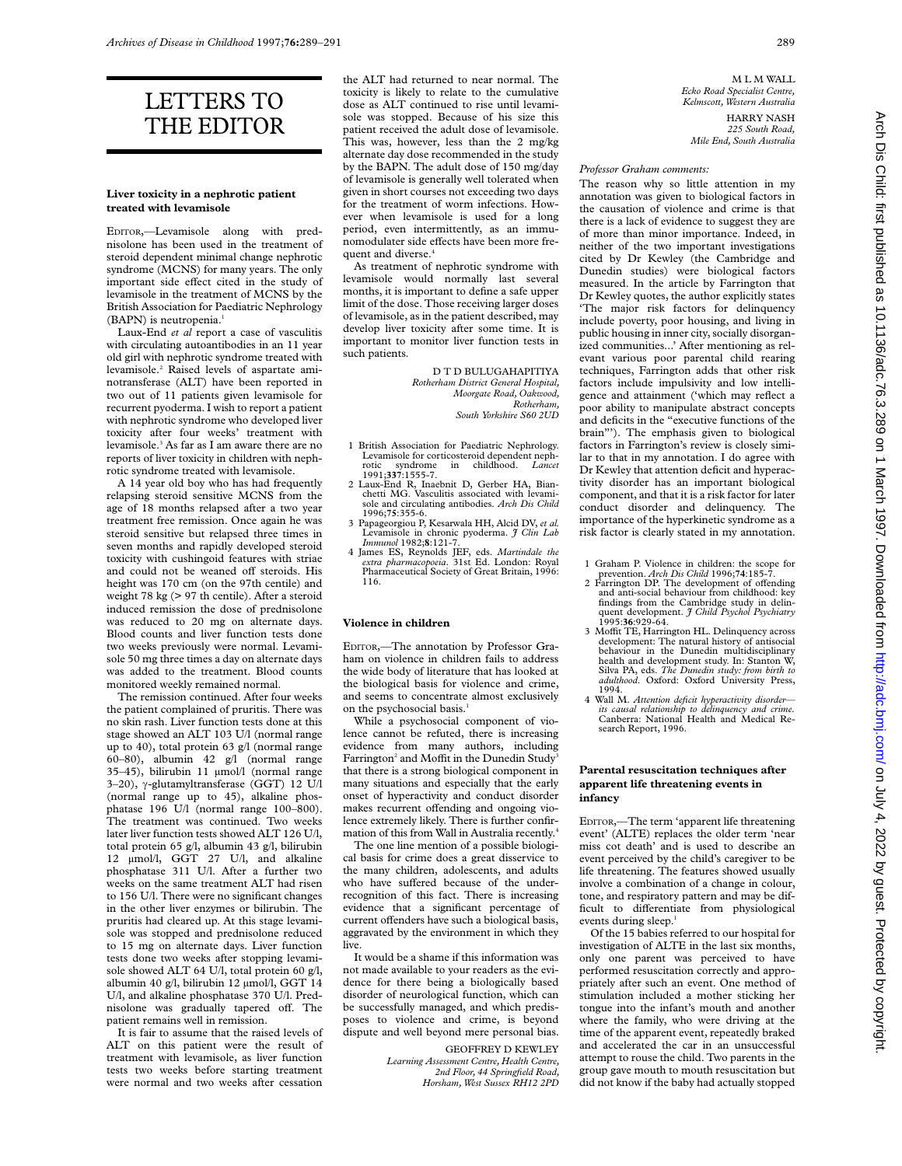# LETTERS TO THE EDITOR

### **Liver toxicity in a nephrotic patient treated with levamisole**

EDITOR,—Levamisole along with prednisolone has been used in the treatment of steroid dependent minimal change nephrotic syndrome (MCNS) for many years. The only important side effect cited in the study of levamisole in the treatment of MCNS by the British Association for Paediatric Nephrology  $(BAPN)$  is neutropenia.<sup>1</sup>

Laux-End *et al* report a case of vasculitis with circulating autoantibodies in an 11 year old girl with nephrotic syndrome treated with levamisole.2 Raised levels of aspartate aminotransferase (ALT) have been reported in two out of 11 patients given levamisole for recurrent pyoderma. I wish to report a patient with nephrotic syndrome who developed liver toxicity after four weeks' treatment with levamisole.3 As far as I am aware there are no reports of liver toxicity in children with nephrotic syndrome treated with levamisole.

A 14 year old boy who has had frequently relapsing steroid sensitive MCNS from the age of 18 months relapsed after a two year treatment free remission. Once again he was steroid sensitive but relapsed three times in seven months and rapidly developed steroid toxicity with cushingoid features with striae and could not be weaned off steroids. His height was 170 cm (on the 97th centile) and weight 78 kg (> 97 th centile). After a steroid induced remission the dose of prednisolone was reduced to 20 mg on alternate days. Blood counts and liver function tests done two weeks previously were normal. Levamisole 50 mg three times a day on alternate days was added to the treatment. Blood counts monitored weekly remained normal.

The remission continued. After four weeks the patient complained of pruritis. There was no skin rash. Liver function tests done at this stage showed an ALT 103 U/l (normal range up to 40), total protein 63 g/l (normal range 60–80), albumin 42 g/l (normal range 35–45), bilirubin 11 µmol/l (normal range 3-20), γ-glutamyltransferase (GGT) 12 U/l (normal range up to 45), alkaline phosphatase 196 U/l (normal range 100–800). The treatment was continued. Two weeks later liver function tests showed ALT 126 U/l, total protein 65 g/l, albumin 43 g/l, bilirubin 12 µmol/l, GGT 27 U/l, and alkaline phosphatase 311 U/l. After a further two weeks on the same treatment ALT had risen to 156 U/l. There were no significant changes in the other liver enzymes or bilirubin. The pruritis had cleared up. At this stage levamisole was stopped and prednisolone reduced to 15 mg on alternate days. Liver function tests done two weeks after stopping levamisole showed ALT 64 U/l, total protein 60 g/l, albumin 40 g/l, bilirubin 12 µmol/l, GGT 14 U/l, and alkaline phosphatase 370 U/l. Prednisolone was gradually tapered off. The patient remains well in remission.

It is fair to assume that the raised levels of ALT on this patient were the result of treatment with levamisole, as liver function tests two weeks before starting treatment were normal and two weeks after cessation

the ALT had returned to near normal. The toxicity is likely to relate to the cumulative dose as ALT continued to rise until levamisole was stopped. Because of his size this patient received the adult dose of levamisole. This was, however, less than the 2 mg/kg alternate day dose recommended in the study by the BAPN. The adult dose of 150 mg/day of levamisole is generally well tolerated when given in short courses not exceeding two days for the treatment of worm infections. However when levamisole is used for a long period, even intermittently, as an immunomodulater side effects have been more frequent and diverse.<sup>4</sup>

As treatment of nephrotic syndrome with levamisole would normally last several months, it is important to define a safe upper limit of the dose. Those receiving larger doses of levamisole, as in the patient described, may develop liver toxicity after some time. It is important to monitor liver function tests in such patients.

> D T D BULUGAHAPITIYA *Rotherham District General Hospital, Moorgate Road, Oakwood, Rotherham, South Yorkshire S60 2UD*

- 1 British Association for Paediatric Nephrology. Levamisole for corticosteroid dependent nephrotic syndrome in childhood. *Lancet* 1991;**337**:1555-7.
- 2 Laux-End R, Inaebnit D, Gerber HA, Bian-chetti MG. Vasculitis associated with levamisole and circulating antibodies. *Arch Dis Child* 1996;**75**:355-6.
- 3 Papageorgiou P, Kesarwala HH, Alcid DV, *et al.* Levamisole in chronic pyoderma. *J Clin Lab Immunol* 1982;**8**:121-7.
- 4 James ES, Reynolds JEF, eds. *Martindale the extra pharmacopoeia*. 31st Ed. London: Royal Pharmaceutical Society of Great Britain, 1996: 116.

#### **Violence in children**

EDITOR,—The annotation by Professor Graham on violence in children fails to address the wide body of literature that has looked at the biological basis for violence and crime, and seems to concentrate almost exclusively on the psychosocial basis.1

While a psychosocial component of violence cannot be refuted, there is increasing evidence from many authors, including Farrington<sup>2</sup> and Moffit in the Dunedin Study<sup>3</sup> that there is a strong biological component in many situations and especially that the early onset of hyperactivity and conduct disorder makes recurrent offending and ongoing violence extremely likely. There is further confirmation of this from Wall in Australia recently.4

The one line mention of a possible biological basis for crime does a great disservice to the many children, adolescents, and adults who have suffered because of the underrecognition of this fact. There is increasing evidence that a significant percentage of current offenders have such a biological basis, aggravated by the environment in which they live.

It would be a shame if this information was not made available to your readers as the evidence for there being a biologically based disorder of neurological function, which can be successfully managed, and which predisposes to violence and crime, is beyond dispute and well beyond mere personal bias.

> GEOFFREY D KEWLEY *Learning Assessment Centre, Health Centre, 2nd Floor, 44 Springfield Road, Horsham, West Sussex RH12 2PD*

M L M WALL *Ecko Road Specialist Centre, Kelmscott, Western Australia*

HARRY NASH *225 South Road, Mile End, South Australia*

#### *Professor Graham comments:*

The reason why so little attention in my annotation was given to biological factors in the causation of violence and crime is that there is a lack of evidence to suggest they are of more than minor importance. Indeed, in neither of the two important investigations cited by Dr Kewley (the Cambridge and Dunedin studies) were biological factors measured. In the article by Farrington that Dr Kewley quotes, the author explicitly states 'The major risk factors for delinquency include poverty, poor housing, and living in public housing in inner city, socially disorganized communities...' After mentioning as relevant various poor parental child rearing techniques, Farrington adds that other risk factors include impulsivity and low intelligence and attainment ('which may reflect a poor ability to manipulate abstract concepts and deficits in the "executive functions of the brain"'). The emphasis given to biological factors in Farrington's review is closely similar to that in my annotation. I do agree with Dr Kewley that attention deficit and hyperactivity disorder has an important biological component, and that it is a risk factor for later conduct disorder and delinquency. The importance of the hyperkinetic syndrome as a risk factor is clearly stated in my annotation.

- 1 Graham P. Violence in children: the scope for prevention. *Arch Dis Child* 1996;**74**:185-7.
- 2 Farrington DP. The development of offending and anti-social behaviour from childhood: key findings from the Cambridge study in delinquent development. *J Child Psychol Psychiatry* 1995:**36**:929-64.
- 3 Moffit TE, Harrington HL. Delinquency across development: The natural history of antisocial behaviour in the Dunedin multidisciplinary health and development study. In: Stanton W, Silva PA, eds. *The Dunedin study: from birth to adulthood*. Oxford: Oxford University Press, 1994.
- 4 Wall M. *Attention deficit hyperactivity disorder— its causal relationship to delinquency and crime.* Canberra: National Health and Medical Research Report, 1996.

#### **Parental resuscitation techniques after apparent life threatening events in infancy**

EDITOR,—The term 'apparent life threatening event' (ALTE) replaces the older term 'near miss cot death' and is used to describe an event perceived by the child's caregiver to be life threatening. The features showed usually involve a combination of a change in colour, tone, and respiratory pattern and may be difficult to differentiate from physiological events during sleep.<sup>1</sup>

Of the 15 babies referred to our hospital for investigation of ALTE in the last six months, only one parent was perceived to have performed resuscitation correctly and appropriately after such an event. One method of stimulation included a mother sticking her tongue into the infant's mouth and another where the family, who were driving at the time of the apparent event, repeatedly braked and accelerated the car in an unsuccessful attempt to rouse the child. Two parents in the group gave mouth to mouth resuscitation but did not know if the baby had actually stopped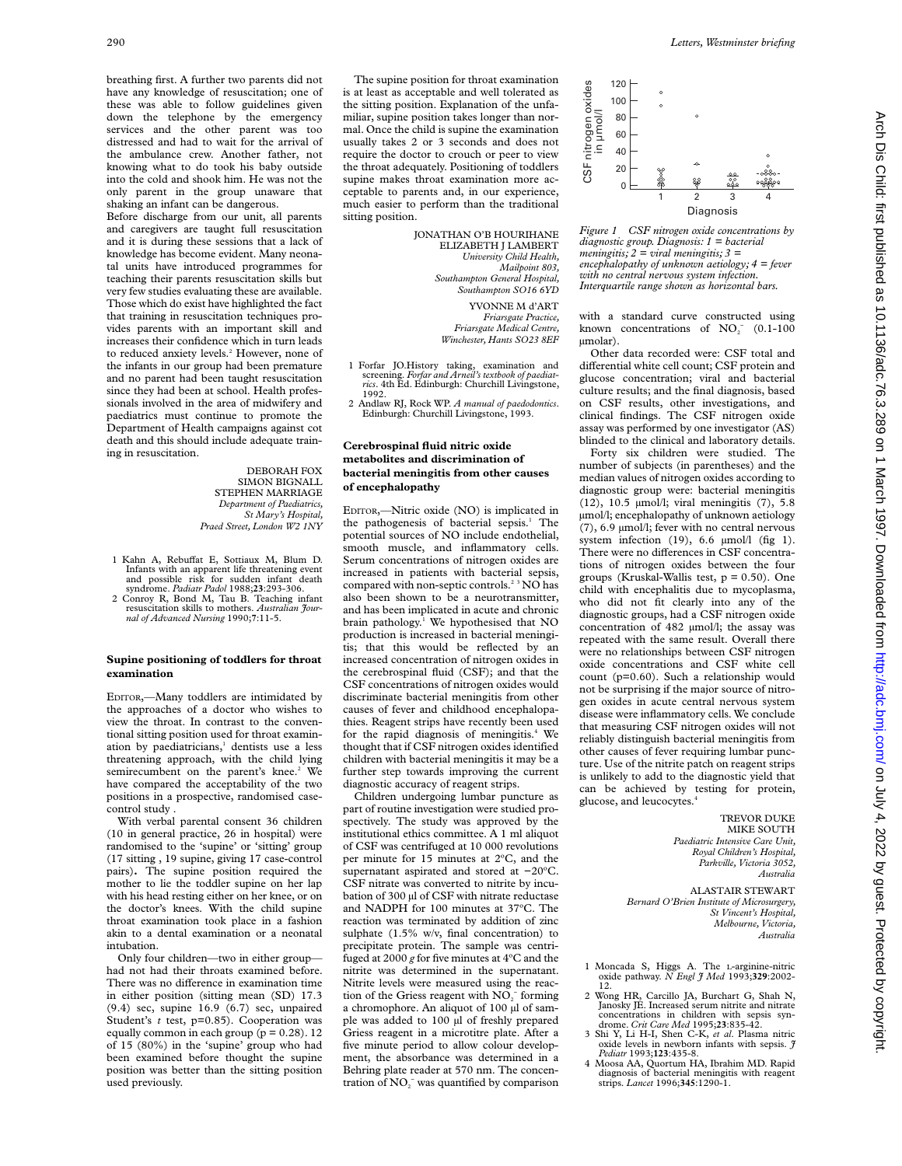breathing first. A further two parents did not have any knowledge of resuscitation; one of these was able to follow guidelines given down the telephone by the emergency services and the other parent was too distressed and had to wait for the arrival of the ambulance crew. Another father, not knowing what to do took his baby outside into the cold and shook him. He was not the only parent in the group unaware that shaking an infant can be dangerous.

Before discharge from our unit, all parents and caregivers are taught full resuscitation and it is during these sessions that a lack of knowledge has become evident. Many neonatal units have introduced programmes for teaching their parents resuscitation skills but very few studies evaluating these are available. Those which do exist have highlighted the fact that training in resuscitation techniques provides parents with an important skill and increases their confidence which in turn leads to reduced anxiety levels.<sup>2</sup> However, none of the infants in our group had been premature and no parent had been taught resuscitation since they had been at school. Health professionals involved in the area of midwifery and paediatrics must continue to promote the Department of Health campaigns against cot death and this should include adequate training in resuscitation.

> DEBORAH FOX SIMON BIGNALL STEPHEN MARRIAGE *Department of Paediatrics, St Mary's Hospital, Praed Street, London W2 1NY*

- 1 Kahn A, Rebuffat E, Sottiaux M, Blum D. Infants with an apparent life threatening event and possible risk for sudden infant death syndrome. *Padiatr Padol* 1988;**23**:293-306.
- 2 Conroy R, Bond M, Tau B. Teaching infant resuscitation skills to mothers. *Australian Journal of Advanced Nursing* 1990;**7**:11-5.

#### **Supine positioning of toddlers for throat examination**

EDITOR,—Many toddlers are intimidated by the approaches of a doctor who wishes to view the throat. In contrast to the conventional sitting position used for throat examination by paediatricians,<sup>1</sup> dentists use a less threatening approach, with the child lying semirecumbent on the parent's knee.<sup>2</sup> We have compared the acceptability of the two positions in a prospective, randomised casecontrol study .

With verbal parental consent 36 children (10 in general practice, 26 in hospital) were randomised to the 'supine' or 'sitting' group (17 sitting , 19 supine, giving 17 case-control pairs)**.** The supine position required the mother to lie the toddler supine on her lap with his head resting either on her knee, or on the doctor's knees. With the child supine throat examination took place in a fashion akin to a dental examination or a neonatal intubation.

Only four children—two in either group had not had their throats examined before. There was no difference in examination time in either position (sitting mean (SD) 17.3 (9.4) sec, supine 16.9 (6.7) sec, unpaired Student's *t* test, p=0.85). Cooperation was equally common in each group ( $p = 0.28$ ). 12 of 15 (80%) in the 'supine' group who had been examined before thought the supine position was better than the sitting position used previously.

The supine position for throat examination is at least as acceptable and well tolerated as the sitting position. Explanation of the unfamiliar, supine position takes longer than normal. Once the child is supine the examination usually takes 2 or 3 seconds and does not require the doctor to crouch or peer to view the throat adequately. Positioning of toddlers supine makes throat examination more acceptable to parents and, in our experience, much easier to perform than the traditional sitting position.

> JONATHAN O'B HOURIHANE ELIZABETH J LAMBERT *University Child Health, Mailpoint 803, Southampton General Hospital, Southampton SO16 6YD*

> > YVONNE M d'ART *Friarsgate Practice, Friarsgate Medical Centre, Winchester, Hants SO23 8EF*

- 1 Forfar JO.History taking, examination and screening. *Forfar and Arneil's textbook of paediat-rics*. 4th Ed. Edinburgh: Churchill Livingstone, 1992.
- 2 Andlaw RJ, Rock WP. *A manual of paedodontics*. Edinburgh: Churchill Livingstone, 1993.

### **Cerebrospinal fluid nitric oxide metabolites and discrimination of bacterial meningitis from other causes of encephalopathy**

EDITOR,—Nitric oxide (NO) is implicated in the pathogenesis of bacterial sepsis.<sup>1</sup> The potential sources of NO include endothelial, smooth muscle, and inflammatory cells. Serum concentrations of nitrogen oxides are increased in patients with bacterial sepsis. compared with non-septic controls.<sup>2</sup> <sup>3</sup> NO has also been shown to be a neurotransmitter, and has been implicated in acute and chronic brain pathology.<sup>1</sup> We hypothesised that NO production is increased in bacterial meningitis; that this would be reflected by an increased concentration of nitrogen oxides in the cerebrospinal fluid (CSF); and that the CSF concentrations of nitrogen oxides would discriminate bacterial meningitis from other causes of fever and childhood encephalopathies. Reagent strips have recently been used for the rapid diagnosis of meningitis.<sup>4</sup> We thought that if CSF nitrogen oxides identified children with bacterial meningitis it may be a further step towards improving the current diagnostic accuracy of reagent strips.

Children undergoing lumbar puncture as part of routine investigation were studied prospectively. The study was approved by the institutional ethics committee. A 1 ml aliquot of CSF was centrifuged at 10 000 revolutions per minute for 15 minutes at 2ºC, and the supernatant aspirated and stored at −20ºC. CSF nitrate was converted to nitrite by incubation of 300 µl of CSF with nitrate reductase and NADPH for 100 minutes at 37ºC. The reaction was terminated by addition of zinc sulphate (1.5% w/v, final concentration) to precipitate protein. The sample was centrifuged at 2000 *g* for five minutes at 4ºC and the nitrite was determined in the supernatant. Nitrite levels were measured using the reaction of the Griess reagent with  $NO<sub>2</sub><sup>-</sup>$  forming a chromophore. An aliquot of 100 µl of sample was added to 100 µl of freshly prepared Griess reagent in a microtitre plate. After a five minute period to allow colour development, the absorbance was determined in a Behring plate reader at 570 nm. The concentration of  $NO<sub>2</sub><sup>-</sup>$  was quantified by comparison



*Figure 1 CSF nitrogen oxide concentrations by diagnostic group. Diagnosis: 1 = bacterial meningitis; 2 = viral meningitis; 3 = encephalopathy of unknown aetiology; 4 = fever with no central nervous system infection. Interquartile range shown as horizontal bars.*

with a standard curve constructed using known concentrations of  $NO<sub>2</sub><sup>-</sup>$  (0.1-100) µmolar).

Other data recorded were: CSF total and differential white cell count; CSF protein and glucose concentration; viral and bacterial culture results; and the final diagnosis, based on CSF results, other investigations, and clinical findings. The CSF nitrogen oxide assay was performed by one investigator (AS) blinded to the clinical and laboratory details.

Forty six children were studied. The number of subjects (in parentheses) and the median values of nitrogen oxides according to diagnostic group were: bacterial meningitis (12), 10.5 µmol/l; viral meningitis (7), 5.8 µmol/l; encephalopathy of unknown aetiology (7), 6.9 µmol/l; fever with no central nervous system infection (19), 6.6 µmol/l (fig 1). There were no differences in CSF concentrations of nitrogen oxides between the four groups (Kruskal-Wallis test,  $p = 0.50$ ). One child with encephalitis due to mycoplasma, who did not fit clearly into any of the diagnostic groups, had a CSF nitrogen oxide concentration of 482 µmol/l; the assay was repeated with the same result. Overall there were no relationships between CSF nitrogen oxide concentrations and CSF white cell count (p=0.60). Such a relationship would not be surprising if the major source of nitrogen oxides in acute central nervous system disease were inflammatory cells. We conclude that measuring CSF nitrogen oxides will not reliably distinguish bacterial meningitis from other causes of fever requiring lumbar puncture. Use of the nitrite patch on reagent strips is unlikely to add to the diagnostic yield that can be achieved by testing for protein, glucose, and leucocytes.4

## TREVOR DUKE

MIKE SOUTH *Paediatric Intensive Care Unit, Royal Children's Hospital, Parkville, Victoria 3052, Australia*

ALASTAIR STEWART *Bernard O'Brien Institute of Microsurgery, St Vincent's Hospital, Melbourne, Victoria, Australia*

- 1 Moncada S, Higgs A. The L-arginine-nitric oxide pathway. *N Engl J Med* 1993;**329**:2002- 12.
- 2 Wong HR, Carcillo JA, Burchart G, Shah N, Janosky JE. Increased serum nitrite and nitrate concentrations in children with sepsis syndrome. *Crit Care Med* 1995;**23**:835-42.
- 3 Shi Y, Li H-I, Shen C-K, *et al*. Plasma nitric oxide levels in newborn infants with sepsis. *J Pediatr* 1993;**123**:435-8.
- 4 Moosa AA, Quortum HA, Ibrahim MD. Rapid diagnosis of bacterial meningitis with reagent strips. *Lancet* 1996;**345**:1290-1.

Diagnosis